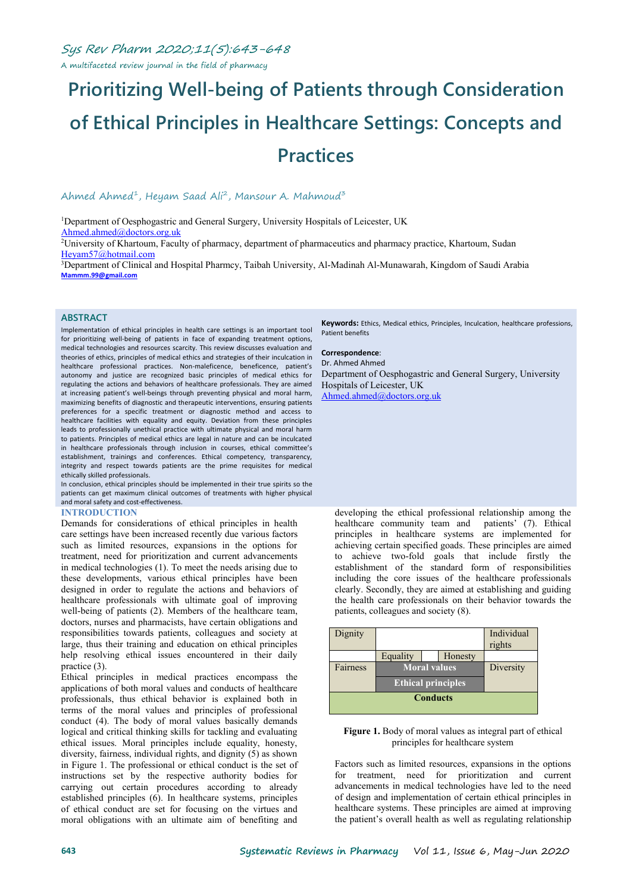A multifaceted review journal in the field of pharmacy

# **Prioritizing Well-being of Patients through Consideration of Ethical Principles in Healthcare Settings: Concepts and Practices**

#### Ahmed Ahmed<sup>1</sup>, Heyam Saad Ali<sup>2</sup>, Mansour A. Mahmoud<sup>3</sup> 3

<sup>1</sup>Department of Oesphogastric and General Surgery, University Hospitals of Leicester, UK [Ahmed.ahmed@doctors.org.uk](mailto:Ahmed.ahmed@doctors.org.uk)

<sup>2</sup>University of Khartoum, Faculty of pharmacy, department of pharmaceutics and pharmacy practice, Khartoum, Sudan [Heyam57@hotmail.com](mailto:Heyam57@hotmail.com)

<sup>3</sup>Department of Clinical and Hospital Pharmcy, Taibah University, Al-Madinah Al-Munawarah, Kingdom of Saudi Arabia **[Mammm.99@gmail.com](mailto:Mammm.99@gmail.com)**

#### **ABSTRACT**

Implementation of ethical principles in health care settings is an important tool for prioritizing well-being of patients in face of expanding treatment options, medical technologies and resources scarcity. This review discusses evaluation and theories of ethics, principles of medical ethics and strategies of their inculcation in healthcare professional practices. Non-maleficence, beneficence, patient's autonomy and justice are recognized basic principles of medical ethics for regulating the actions and behaviors of healthcare professionals. They are aimed at increasing patient's well-beings through preventing physical and moral harm, maximizing benefits of diagnostic and therapeutic interventions, ensuring patients preferences for a specific treatment or diagnostic method and access to healthcare facilities with equality and equity. Deviation from these principles leads to professionally unethical practice with ultimate physical and moral harm to patients. Principles of medical ethics are legal in nature and can be inculcated in healthcare professionals through inclusion in courses, ethical committee's establishment, trainings and conferences. Ethical competency, transparency, integrity and respect towards patients are the prime requisites for medical ethically skilled professionals.

In conclusion, ethical principles should be implemented in their true spirits so the patients can get maximum clinical outcomes of treatments with higher physical and moral safety and cost-effectiveness.

#### **INTRODUCTION**

Demands for considerations of ethical principles in health care settings have been increased recently due various factors such as limited resources, expansions in the options for treatment, need for prioritization and current advancements in medical technologies [\(1\)](#page-4-0). To meet the needs arising due to these developments, various ethical principles have been designed in order to regulate the actions and behaviors of healthcare professionals with ultimate goal of improving well-being of patients ([2](#page-4-1)). Members of the healthcare team, doctors, nurses and pharmacists, have certain obligations and responsibilities towards patients, colleagues and society at large, thus their training and education on ethical principles help resolving ethical issues encountered in their daily practice [\(3\)](#page-4-2).

Ethical principles in medical practices encompass the applications of both moral values and conducts of healthcare professionals, thus ethical behavior is explained both in terms of the moral values and principles of professional conduct [\(4\)](#page-4-3). The body of moral values basically demands logical and critical thinking skills for tackling and evaluating ethical issues. Moral principles include equality, honesty, diversity, fairness, individual rights, and dignity ([5](#page-4-4)) as shown in Figure 1. The professional or ethical conduct is the set of instructions set by the respective authority bodies for carrying out certain procedures according to already established principles ([6\)](#page-4-5). In healthcare systems, principles of ethical conduct are set for focusing on the virtues and moral obligations with an ultimate aim of benefiting and

**Keywords:** Ethics, Medical ethics, Principles, Inculcation, healthcare professions, Patient benefits

#### **Correspondence**: Dr. Ahmed Ahmed

Department of Oesphogastric and General Surgery, University Hospitals of Leicester, UK [Ahmed.ahmed@doctors.org.uk](mailto:Ahmed.ahmed@doctors.org.uk)

developing the ethical professional relationship among the healthcare community team and patients' ([7](#page-4-6)). Ethical principles in healthcare systems are implemented for achieving certain specified goads. These principles are aimed to achieve two-fold goals that include firstly the establishment of the standard form of responsibilities including the core issues of the healthcare professionals clearly. Secondly, they are aimed at establishing and guiding the health care professionals on their behavior towards the patients, colleagues and society  $(8)$ .

| Dignity         |                           |  |         | Individual<br>rights |
|-----------------|---------------------------|--|---------|----------------------|
|                 | Equality                  |  | Honesty |                      |
| Fairness        | <b>Moral values</b>       |  |         | Diversity            |
|                 | <b>Ethical principles</b> |  |         |                      |
| <b>Conducts</b> |                           |  |         |                      |
|                 |                           |  |         |                      |

#### **Figure 1.** Body of moral values as integral part of ethical principles for healthcare system

Factors such as limited resources, expansions in the options for treatment, need for prioritization and current advancements in medical technologies have led to the need of design and implementation of certain ethical principles in healthcare systems. These principles are aimed at improving the patient's overall health as well as regulating relationship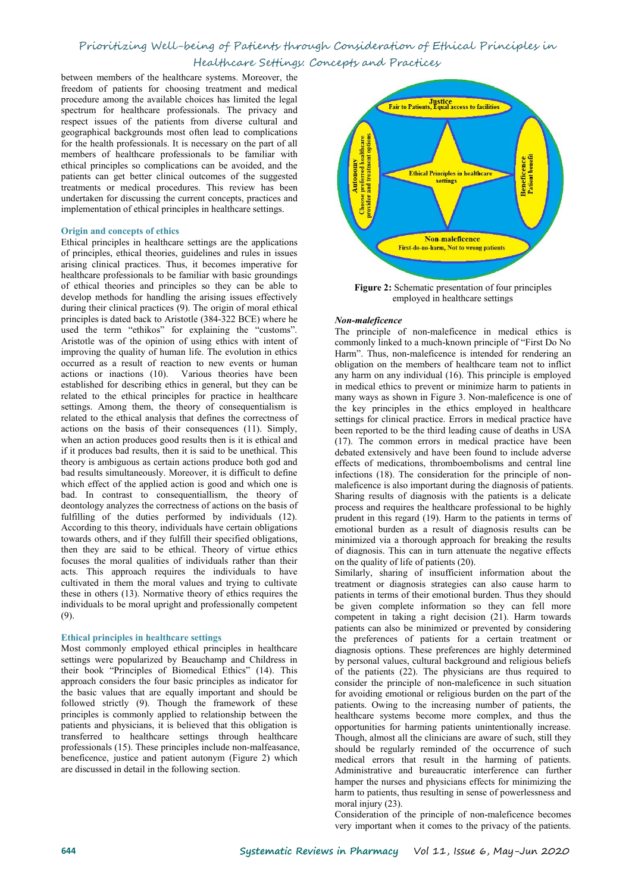between members of the healthcare systems. Moreover, the freedom of patients for choosing treatment and medical procedure among the available choices has limited the legal procedure among the available choices has limited the legal and a spectrum for healthcare professionals. The privacy and respect issues of the patients from diverse cultural and geographical backgrounds most often lead to complications for the health professionals. It is necessary on the part of all members of healthcare professionals to be familiar with ethical principles so complications can be avoided, and the patients can get better clinical outcomes of the suggested treatments or medical procedures. This review has been patients can get better clinical outcomes of the suggested treatments or medical procedures. This review has been undertaken for discussing the current concepts, practices and implementation of ethical principles in healthcare settings.

#### **Origin** and **concepts** of ethics

Ethical principles in healthcare settings are the applications of principles, ethical theories, guidelines and rules in issues arising clinical practices. Thus, it becomes imperative for healthcare professionals to be familiar with basic groundings of ethical theories and principles so they can be able to develop methods for handling the arising issues effectively during their clinical practices ([9](#page-4-8)). The origin of moral ethical principles is dated back to Aristotle (384-322 BCE) where he used the term "ethikos" for explaining the "customs". Aristotle was of the opinion of using ethics with intent of improving the quality of human life. The evolution in ethics occurred as a result of reaction to new events or human actions or inactions [\(10\)](#page-4-9). Various theories have been established for describing ethics in general, but they can be related to the ethical principles for practice in healthcare settings. Among them, the theory of consequentialism is related to the ethical analysis that defines the correctness of actions on the basis of their consequences ([11\)](#page-4-10). Simply, when an action produces good results then is it is ethical and if it produces bad results, then it is said to be unethical. This theory is ambiguous as certain actions produce both god and bad results simultaneously. Moreover, it is difficult to define which effect of the applied action is good and which one is bad. In contrast to consequentiallism, the theory of deontology analyzes the correctness of actions on the basis of fulfilling of the duties performed by individuals [\(12](#page-4-11)).<br>According to this theory, individuals have certain obligations towards others, and if they fulfill their specified obligations, then they are said to be ethical. Theory of virtue ethics focuses the moral qualities of individuals rather than their acts. This approach requires the individuals to have cultivated in them the moral values and trying to cultivate these in others ([13](#page-4-12)). Normative theory of ethics requires the individuals to be moral upright and professionally competent ([9](#page-4-8)).

#### **Ethical principles in healthcare settings**

Most commonly employed ethical principles in healthcare settings were popularized by Beauchamp and Childress in their book "Principles of Biomedical Ethics" [\(14\)](#page-4-13). This approach considers the four basic principles as indicator for the basic values that are equally important and should be followed strictly ([9\)](#page-4-8). Though the framework of these principles is commonly applied to relationship between the patients and physicians, it is believed that this obligation is transferred to healthcare settings through healthcare professionals ([15](#page-4-14)). These principles include non-malfeasance, beneficence, justice and patient autonym (Figure 2) which are discussed in detail in the following section.



**Figure 2:** Schematic presentation of four principles employed in healthcare settings

#### *Non-maleficence*

The principle of non-maleficence in medical ethics is commonly linked to a much-known principle of "First Do No Harm". Thus, non-maleficence is intended for rendering an obligation on the members of healthcare team not to inflict any harm on any individual  $(16)$  $(16)$ . This principle is employed in medical ethics to prevent or minimize harm to patients in many ways as shown in Figure 3. Non-maleficence is one of the key principles in the ethics employed in healthcare settings for clinical practice. Errors in medical practice have been reported to be the third leading cause of deaths in USA ([17\)](#page-4-16). The common errors in medical practice have been debated extensively and have been found to include adverse effects of medications, thromboembolisms and central line infections ([18\)](#page-4-17). The consideration for the principle of non maleficence is also important during the diagnosis of patients. Sharing results of diagnosis with the patients is a delicate process and requires the healthcare professional to be highly prudent in this regard ([19\)](#page-4-18). Harm to the patients in terms of emotional burden as a result of diagnosis results can be minimized via a thorough approach for breaking the results of diagnosis. This can in turn attenuate the negative effects on the quality of life of patients [\(20](#page-4-19)).

Similarly, sharing of insufficient information about the treatment or diagnosis strategies can also cause harm to patients in terms of their emotional burden. Thus they should be given complete information so they can fell more competent in taking a right decision ([21\)](#page-4-20). Harm towards patients can also be minimized or prevented by considering the preferences of patients for a certain treatment or diagnosis options. These preferences are highly determined by personal values, cultural background and religious beliefs of the patients ([22\)](#page-4-21). The physicians are thus required to consider the principle of non-maleficence in such situation for avoiding emotional or religious burden on the part of the patients. Owing to the increasing number of patients, the healthcare systems become more complex, and thus the opportunities for harming patients unintentionally increase. Though, almost all the clinicians are aware of such, still they should be regularly reminded of the occurrence of such medical errors that result in the harming of patients. Administrative and bureaucratic interference can further hamper the nurses and physicians effects for minimizing the harm to patients, thus resulting in sense of powerlessness and moral injury ([23\)](#page-4-22).

Consideration of the principle of non-maleficence becomes very important when it comes to the privacy of the patients.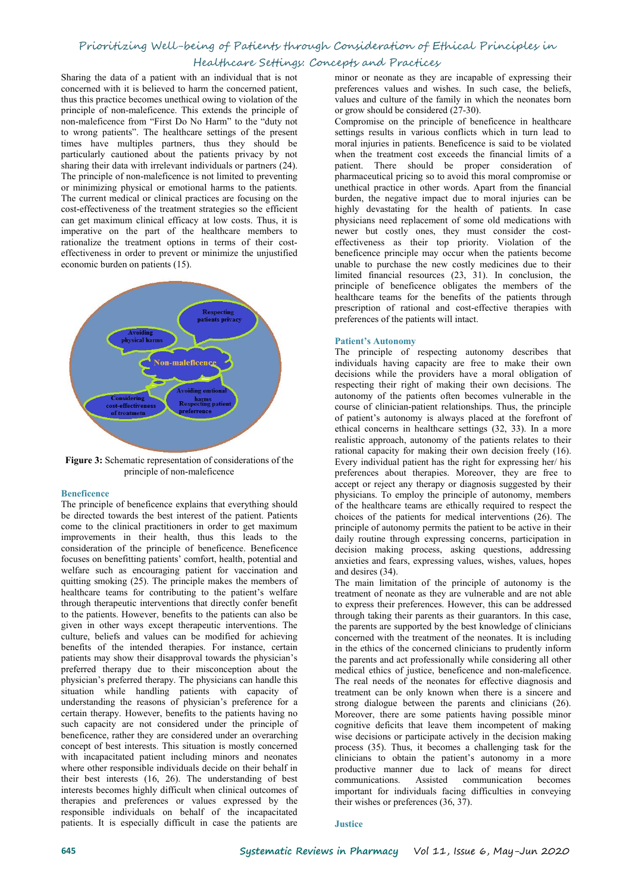Sharing the data of a patient with an individual that is not concerned with it is believed to harm the concerned patient, thus this practice becomes unethical owing to violation of the principle of non-maleficence. This extends the principle of non-maleficence from "First Do No Harm" to the "duty not to wrong patients". The healthcare settings of the present times have multiples partners, thus they should be particularly cautioned about the patients privacy by not sharing their data with irrelevant individuals or partners [\(24](#page-4-23)). The principle of non-maleficence is not limited to preventing or minimizing physical or emotional harms to the patients. The current medical or clinical practices are focusing on the cost-effectiveness of the treatment strategies so the efficient can get maximum clinical efficacy at low costs. Thus, it is imperative on the part of the healthcare members to rationalize the treatment options in terms of their cost effectiveness in order to prevent or minimize the unjustified economic burden on patients ([15\)](#page-4-14).



**Figure 3:** Schematic representation of considerations of the principle of non-maleficence

#### **Beneficence**

The principle of beneficence explains that everything should be directed towards the best interest of the patient. Patients come to the clinical practitioners in order to get maximum improvements in their health, thus this leads to the consideration of the principle of beneficence. Beneficence focuses on benefitting patients' comfort, health, potential and welfare such as encouraging patient for vaccination and quitting smoking [\(25](#page-4-24)). The principle makes the members of healthcare teams for contributing to the patient's welfare through therapeutic interventions that directly confer benefit to the patients. However, benefits to the patients can also be given in other ways except therapeutic interventions. The culture, beliefs and values can be modified for achieving benefits of the intended therapies. For instance, certain patients may show their disapproval towards the physician's preferred therapy due to their misconception about the physician's preferred therapy. The physicians can handle this situation while handling patients with capacity of understanding the reasons of physician's preference for a certain therapy. However, benefits to the patients having no such capacity are not considered under the principle of beneficence, rather they are considered under an overarching concept of best interests. This situation is mostly concerned with incapacitated patient including minors and neonates where other responsible individuals decide on their behalf in their best interests ([16,](#page-4-15) [26](#page-4-25)). The understanding of best interests becomes highly difficult when clinical outcomes of therapies and preferences or values expressed by the responsible individuals on behalf of the incapacitated patients. It is especially difficult in case the patients are minor or neonate as they are incapable of expressing their preferences values and wishes. In such case, the beliefs, values and culture of the family in which the neonates born or grow should be considered [\(27-30](#page-4-26)).

Compromise on the principle of beneficence in healthcare settings results in various conflicts which in turn lead to moral injuries in patients. Beneficence is said to be violated when the treatment cost exceeds the financial limits of a patient. There should be proper consideration of pharmaceutical pricing so to avoid this moral compromise or unethical practice in other words. Apart from the financial burden, the negative impact due to moral injuries can be highly devastating for the health of patients. In case physicians need replacement of some old medications with newer but costly ones, they must consider the cost effectiveness as their top priority. Violation of the beneficence principle may occur when the patients become unable to purchase the new costly medicines due to their limited financial resources [\(23](#page-4-22), [31\)](#page-4-27). In conclusion, the principle of beneficence obligates the members of the healthcare teams for the benefits of the patients through prescription of rational and cost-effective therapies with preferences of the patients will intact.

### **Patient's Autonomy**

The principle of respecting autonomy describes that individuals having capacity are free to make their own decisions while the providers have a moral obligation of respecting their right of making their own decisions. The autonomy of the patients often becomes vulnerable in the course of clinician-patient relationships. Thus, the principle of patient's autonomy is always placed at the forefront of ethical concerns in healthcare settings ([32,](#page-4-28) [33](#page-4-29)). In a more realistic approach, autonomy of the patients relates to their rational capacity for making their own decision freely [\(16\)](#page-4-15). Every individual patient has the right for expressing her/ his preferences about therapies. Moreover, they are free to accept or reject any therapy or diagnosis suggested by their physicians. To employ the principle of autonomy, members of the healthcare teams are ethically required to respect the choices of the patients for medical interventions [\(26](#page-4-25)). The principle of autonomy permits the patient to be active in their daily routine through expressing concerns, participation in decision making process, asking questions, addressing anxieties and fears, expressing values, wishes, values, hopes and desires [\(34](#page-4-30)).

The main limitation of the principle of autonomy is the treatment of neonate as they are vulnerable and are not able to express their preferences. However, this can be addressed through taking their parents as their guarantors. In this case, the parents are supported by the best knowledge of clinicians concerned with the treatment of the neonates. It is including in the ethics of the concerned clinicians to prudently inform the parents and act professionally while considering all other medical ethics of justice, beneficence and non-maleficence. The real needs of the neonates for effective diagnosis and treatment can be only known when there is a sincere and strong dialogue between the parents and clinicians [\(26](#page-4-25)). Moreover, there are some patients having possible minor cognitive deficits that leave them incompetent of making wise decisions or participate actively in the decision making process [\(35](#page-4-31)). Thus, it becomes a challenging task for the clinicians to obtain the patient's autonomy in a more productive manner due to lack of means for direct communications. Assisted communication becomes important for individuals facing difficulties in conveying their wishes or preferences ([36,](#page-4-32) [37](#page-4-33)).

#### **Justice**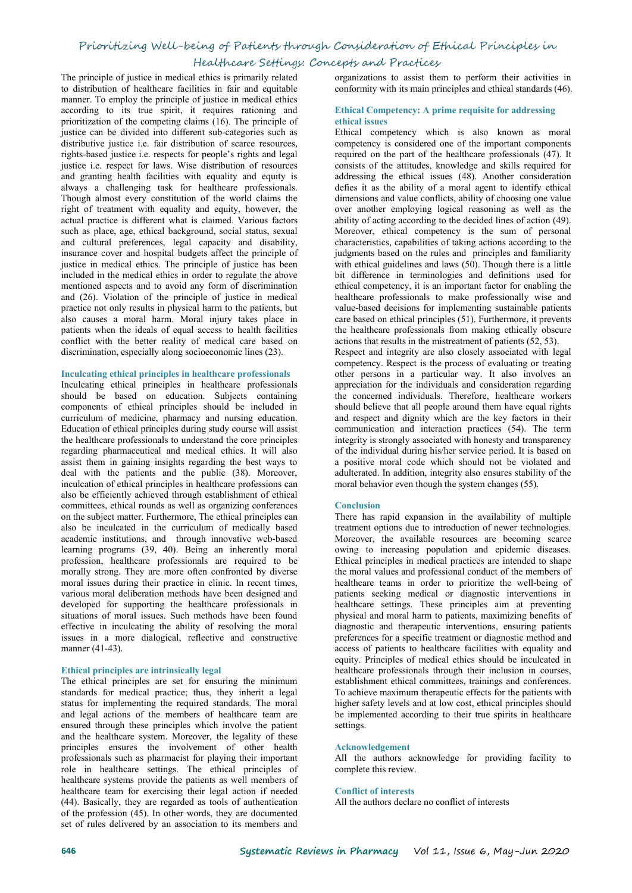## Prioritizing Well-being of Patients through Consideration of Ethical Principles in

## Healthcare Settings: Concepts and Practices

The principle of justice in medical ethics is primarily related to distribution of healthcare facilities in fair and equitable manner. To employ the principle of justice in medical ethics according to its true spirit, it requires rationing and prioritization of the competing claims [\(16](#page-4-15)). The principle of justice can be divided into different sub-categories such as distributive justice i.e. fair distribution of scarce resources, rights-based justice i.e. respects for people's rights and legal justice i.e. respect for laws. Wise distribution of resources and granting health facilities with equality and equity is always a challenging task for healthcare professionals. Though almost every constitution of the world claims the right of treatment with equality and equity, however, the actual practice is different what is claimed. Various factors such as place, age, ethical background, social status, sexual and cultural preferences, legal capacity and disability, insurance cover and hospital budgets affect the principle of justice in medical ethics. The principle of justice has been included in the medical ethics in order to regulate the above mentioned aspects and to avoid any form of discrimination and [\(26](#page-4-25)). Violation of the principle of justice in medical practice not only results in physical harm to the patients, but also causes a moral harm. Moral injury takes place in patients when the ideals of equal access to health facilities conflict with the better reality of medical care based on discrimination, especially along socioeconomic lines ([23\)](#page-4-22).

#### **Inculcating ethical principles in healthcare professionals**

Inculcating ethical principles in healthcare professionals should be based on education. Subjects containing components of ethical principles should be included in curriculum of medicine, pharmacy and nursing education. Education of ethical principles during study course will assist the healthcare professionals to understand the core principles regarding pharmaceutical and medical ethics. It will also assist them in gaining insights regarding the best ways to deal with the patients and the public ([38](#page-4-34)). Moreover, inculcation of ethical principles in healthcare professions can also be efficiently achieved through establishment of ethical committees, ethical rounds as well as organizing conferences on the subject matter. Furthermore, The ethical principles can also be inculcated in the curriculum of medically based academic institutions, and through innovative web-based learning programs [\(39](#page-4-35), [40\)](#page-4-36). Being an inherently moral profession, healthcare professionals are required to be morally strong. They are more often confronted by diverse moral issues during their practice in clinic. In recent times, various moral deliberation methods have been designed and developed for supporting the healthcare professionals in situations of moral issues. Such methods have been found effective in inculcating the ability of resolving the moral issues in amore dialogical, reflective and constructive manner ([41-43\)](#page-5-0).

#### **Ethical principles are intrinsically legal**

The ethical principles are set for ensuring the minimum standards for medical practice; thus, they inherit a legal status for implementing the required standards. The moral and legal actions of the members of healthcare team are ensured through these principles which involve the patient and the healthcare system. Moreover, the legality of these principles ensures the involvement of other health professionals such as pharmacist for playing their important role in healthcare settings. The ethical principles of healthcare systems provide the patients as well members of healthcare team for exercising their legal action if needed ([44\)](#page-5-1). Basically, they are regarded as tools of authentication of the profession [\(45](#page-5-2)). In other words, they are documented set of rules delivered by an association to its members and

organizations to assist them to perform their activities in conformity with its main principles and ethical standards ([46\)](#page-5-3).

#### **Ethical Competency: A prime requisite for addressing ethical issues**

Ethical competency which is also known as moral competency is considered one of the important components required on the part of the healthcare professionals [\(47](#page-5-4)). It consists of the attitudes, knowledge and skills required for addressing the ethical issues [\(48](#page-5-5)). Another consideration defies it as the ability of a moral agent to identify ethical dimensions and value conflicts, ability of choosing one value over another employing logical reasoning as well as the ability of acting according to the decided lines of action [\(49](#page-5-6)). Moreover, ethical competency is the sum of personal characteristics, capabilities of taking actions according to the judgments based on the rules and principles and familiarity with ethical guidelines and laws [\(50\)](#page-5-7). Though there is a little bit difference in terminologies and definitions used for ethical competency, it is an important factor for enabling the healthcare professionals to make professionally wise and value‐based decisions for implementing sustainable patients care based on ethical principles ([51\)](#page-5-8). Furthermore, it prevents the healthcare professionals from making ethically obscure actions that results in the mistreatment of patients ([52,](#page-5-9) [53](#page-5-10)).

Respect and integrity are also closely associated with legal competency. Respect is the process of evaluating or treating other persons in a particular way. It also involves an appreciation for the individuals and consideration regarding the concerned individuals. Therefore, healthcare workers should believe that all people around them have equal rights and respect and dignity which are the key factors in their communication and interaction practices [\(54](#page-5-11)). The term integrity is strongly associated with honesty and transparency of the individual during his/her service period. It is based on a positive moral code which should not be violated and adulterated. In addition, integrity also ensures stability of the moral behavior even though the system changes ([55\)](#page-5-12).

#### **Conclusion**

There has rapid expansion in the availability of multiple treatment options due to introduction of newer technologies. Moreover, the available resources are becoming scarce owing to increasing population and epidemic diseases. Ethical principles in medical practices are intended to shape the moral values and professional conduct of the members of healthcare teams in order to prioritize the well-being of patients seeking medical or diagnostic interventions in healthcare settings. These principles aim at preventing physical and moral harm to patients, maximizing benefits of diagnostic and therapeutic interventions, ensuring patients preferences for a specific treatment or diagnostic method and access of patients to healthcare facilities with equality and equity. Principles of medical ethics should be inculcated in healthcare professionals through their inclusion in courses, establishment ethical committees, trainings and conferences. To achieve maximum therapeutic effects for the patients with higher safety levels and at low cost, ethical principles should be implemented according to their true spirits in healthcare settings.

#### **Acknowledgement**

All the authors acknowledge for providing facility to complete this review.

#### **Conflict of interests**

All the authors declare no conflict of interests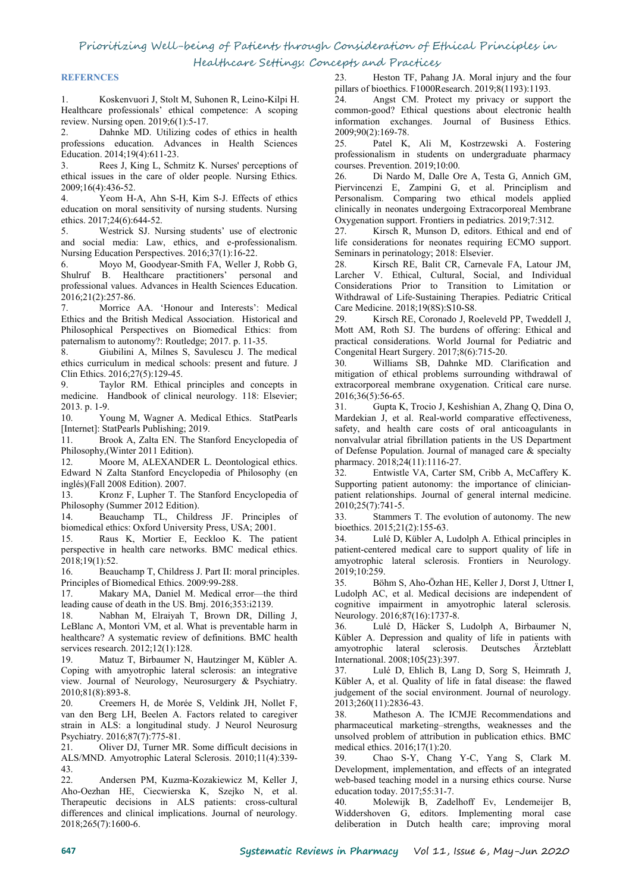### **REFERNCES**

<span id="page-4-0"></span>1. Koskenvuori J, Stolt M, Suhonen R, Leino‐Kilpi H. Healthcare professionals' ethical competence: A scoping review. Nursing open. 2019;6(1):5-17.

<span id="page-4-1"></span>2. Dahnke MD. Utilizing codes of ethics in health professions education. Advances in Health Sciences Education. 2014;19(4):611-23.

<span id="page-4-2"></span>3. Rees J, King L, Schmitz K. Nurses' perceptions of contributed issues in the care of older people. Nursing Ethics. 26. 2009;16(4):436-52.

<span id="page-4-3"></span>4. Yeom H-A, Ahn S-H, Kim S-J. Effects of ethics education on moral sensitivity of nursing students. Nursing ethics. 2017;24(6):644-52.

<span id="page-4-4"></span>5. Westrick SJ. Nursing students' use of electronic and social media: Law, ethics, and e-professionalism. Nursing Education Perspectives. 2016;37(1):16-22.

<span id="page-4-5"></span>6. Moyo M, Goodyear-Smith FA, Weller J, Robb G, Shulruf B. Healthcare practitioners' personal and professional values. Advances in Health Sciences Education. 2016;21(2):257-86.

<span id="page-4-6"></span>Morrice AA. 'Honour and Interests': Medical Can<br>d the British Medical Association Historical and 29 Ethics and the British Medical Association. Historical and Philosophical Perspectives on Biomedical Ethics: from paternalism to autonomy?: Routledge; 2017. p. 11-35.

<span id="page-4-7"></span>8. Giubilini A, Milnes S, Savulescu J. The medical ethics curriculum in medical schools: present and future. J Clin Ethics. 2016;27(5):129-45.

<span id="page-4-8"></span>9. Taylor RM. Ethical principles and concepts in medicine. Handbook of clinical neurology. 118: Elsevier; 2013. p. 1-9.

<span id="page-4-9"></span>10. Young M, Wagner A. Medical Ethics. StatPearls [Internet]: StatPearls Publishing; 2019.

<span id="page-4-10"></span>11. Brook A, Zalta EN. The Stanford Encyclopedia of Philosophy,(Winter 2011 Edition).

<span id="page-4-11"></span>12. Moore M, ALEXANDER L. Deontological ethics. Edward N Zalta Stanford Encyclopedia of Philosophy (en inglés)(Fall 2008 Edition). 2007.<br>13. Kronz F, Lupher T. Tl

<span id="page-4-12"></span>Kronz F, Lupher T. The Stanford Encyclopedia of Philosophy (Summer 2012 Edition).

<span id="page-4-13"></span>14. Beauchamp TL, Childress JF. Principles of biomedical ethics: Oxford University Press, USA; 2001.

<span id="page-4-14"></span>15. Raus K, Mortier E, Eeckloo K. The patient perspective in health care networks. BMC medical ethics. 2018;19(1):52.

<span id="page-4-15"></span>16. Beauchamp T, Childress J. Part II: moral principles. Principles of Biomedical Ethics. 2009:99-288.

<span id="page-4-16"></span>17. Makary MA, Daniel M. Medical error—the third leading cause of death in the US. Bmj. 2016;353:i2139.

<span id="page-4-17"></span>18. Nabhan M, Elraiyah T, Brown DR, Dilling J, LeBlanc A, Montori VM, et al. What is preventable harm in 36. Lulé D, Häcker S, Ludolph A, Birbaumer N, healthcare? A systematic review of definitions. BMC health services research. 2012;12(1):128.

<span id="page-4-18"></span>19. Matuz T, Birbaumer N, Hautzinger M, Kübler A. Coping with amyotrophic lateral sclerosis: an integrative view. Journal of Neurology, Neurosurgery & Psychiatry. 2010;81(8):893-8.

<span id="page-4-19"></span>20. Creemers H, de Morée S, Veldink JH, Nollet F, van den Berg LH, Beelen A. Factors related to caregiver strain in ALS: a longitudinal study. J Neurol Neurosurg Psychiatry. 2016;87(7):775-81.

<span id="page-4-20"></span>21. Oliver DJ, Turner MR. Some difficult decisions in ALS/MND. Amyotrophic Lateral Sclerosis. 2010;11(4):339- 43.

<span id="page-4-21"></span>22. Andersen PM, Kuzma-Kozakiewicz M, Keller J, Aho-Oezhan HE, Ciecwierska K, Szejko N, et al. Therapeutic decisions in ALS patients: cross-cultural differences and clinical implications. Journal of neurology. 2018;265(7):1600-6.

<span id="page-4-22"></span>23. Heston TF, Pahang JA. Moral injury and the four pillars ofbioethics. F1000Research. 2019;8(1193):1193.

<span id="page-4-23"></span>Angst CM. Protect my privacy or support the common-good? Ethical questions about electronic health information exchanges. Journal of Business Ethics. 2009;90(2):169-78.

<span id="page-4-24"></span>Patel K, Ali M, Kostrzewski A. Fostering professionalism in students on undergraduate pharmacy courses. Prevention. 2019;10:00.

<span id="page-4-25"></span>Di Nardo M, Dalle Ore A, Testa G, Annich GM, Piervincenzi E, Zampini G, et al. Principlism and Personalism. Comparing two ethical models applied clinically in neonates undergoing Extracorporeal Membrane Oxygenation support. Frontiers in pediatrics. 2019;7:312.

<span id="page-4-26"></span>Kirsch R, Munson D, editors. Ethical and end of life considerations for neonates requiring ECMO support. Seminars in perinatology; 2018: Elsevier.

Kirsch RE, Balit CR, Carnevale FA, Latour JM, Larcher V. Ethical, Cultural, Social, and Individual Considerations Prior to Transition to Limitation or Withdrawal of Life-Sustaining Therapies. Pediatric Critical Care Medicine. 2018;19(8S):S10-S8.

Kirsch RE, Coronado J, Roeleveld PP, Tweddell J, Mott AM, Roth SJ. The burdens of offering: Ethical and practical considerations. World Journal for Pediatric and Congenital Heart Surgery. 2017;8(6):715-20.

30. Williams SB, Dahnke MD. Clarification and mitigation of ethical problems surrounding withdrawal of extracorporeal membrane oxygenation. Critical care nurse. 2016;36(5):56-65.

<span id="page-4-27"></span>31. Gupta K, Trocio J, Keshishian A, Zhang Q, Dina O, Mardekian J, et al. Real-world comparative effectiveness, safety, and health care costs of oral anticoagulants in nonvalvular atrial fibrillation patients in the US Department of Defense Population. Journal of managed care & specialty pharmacy. 2018;24(11):1116-27.

<span id="page-4-28"></span>Entwistle VA, Carter SM, Cribb A, McCaffery K. Supporting patient autonomy: the importance of clinician patient relationships. Journal of general internal medicine. 2010;25(7):741-5.

<span id="page-4-29"></span>Stammers T. The evolution of autonomy. The new bioethics. 2015;21(2):155-63.

<span id="page-4-30"></span>Lulé D, Kübler A, Ludolph A. Ethical principles in patient-centered medical care to support quality of life in amyotrophic lateral sclerosis. Frontiers in Neurology. 2019;10:259.

<span id="page-4-31"></span>35. Böhm S, Aho-Özhan HE, Keller J, Dorst J, Uttner I, Ludolph AC, et al. Medical decisions are independent of cognitive impairment in amyotrophic lateral sclerosis. Neurology. 2016;87(16):1737-8.

<span id="page-4-32"></span>Kübler A. Depression and quality of life in patients with amyotrophic lateral sclerosis. Deutsches Ärzteblatt International. 2008;105(23):397.

<span id="page-4-33"></span>Lulé D, Ehlich B, Lang D, Sorg S, Heimrath J, Kübler A, et al. Quality of life in fatal disease: the flawed judgement of the social environment. Journal of neurology. 2013;260(11):2836-43.

<span id="page-4-34"></span>Matheson A. The ICMJE Recommendations and pharmaceutical marketing–strengths, weaknesses and the unsolved problem of attribution in publication ethics. BMC medical ethics. 2016;17(1):20.

<span id="page-4-35"></span>Chao S-Y, Chang Y-C, Yang S, Clark M. Development, implementation, and effects of an integrated web-based teaching model in a nursing ethics course. Nurse education today. 2017;55:31-7.

<span id="page-4-36"></span>40. Molewijk B, Zadelhoff Ev, Lendemeijer B, Widdershoven G, editors. Implementing moral case deliberation in Dutch health care; improving moral